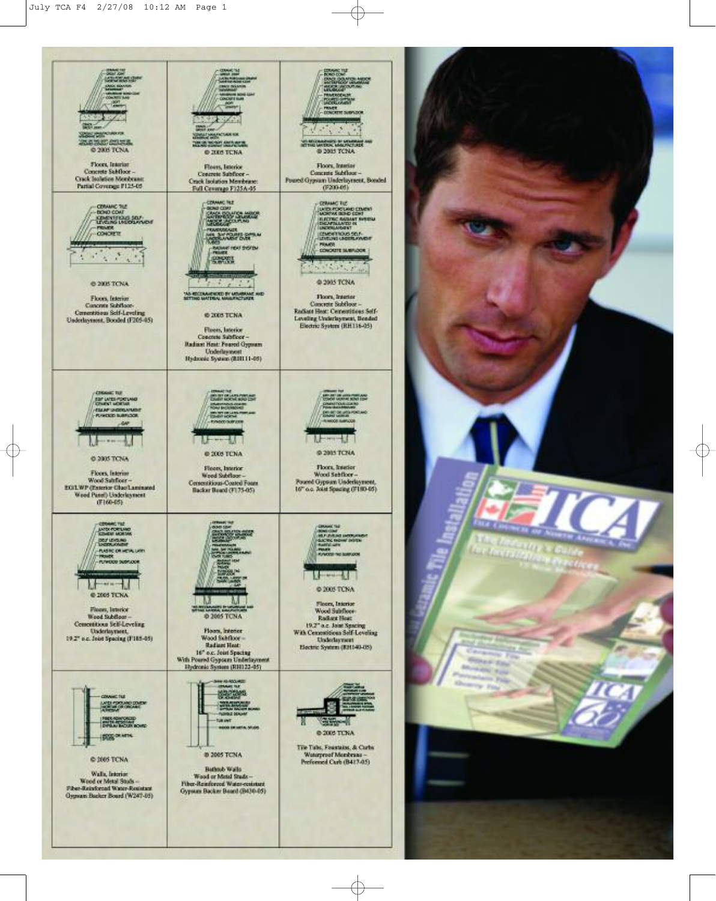

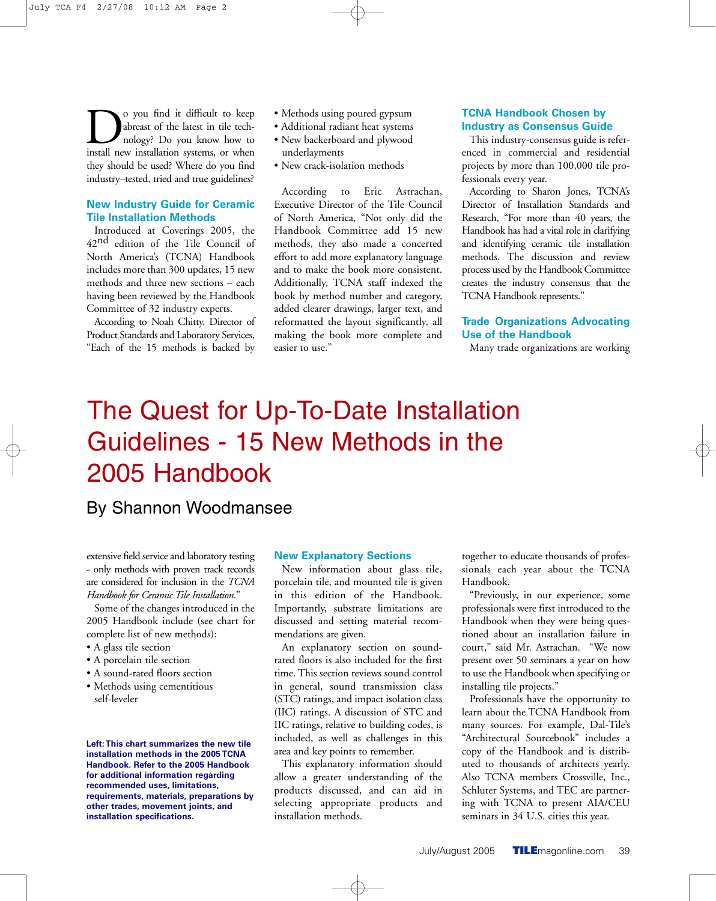**D**o you find it difficult to keep abreast of the latest in tile technology? Do you know how to install new installation systems, or when abreast of the latest in tile technology? Do you know how to they should be used? Where do you find industry–tested, tried and true guidelines?

## **New Industry Guide for Ceramic Tile Installation Methods**

Introduced at Coverings 2005, the 42nd edition of the Tile Council of North America's (TCNA) Handbook includes more than 300 updates, 15 new methods and three new sections – each having been reviewed by the Handbook Committee of 32 industry experts.

According to Noah Chitty, Director of Product Standards and Laboratory Services, "Each of the 15 methods is backed by

- Methods using poured gypsum
- Additional radiant heat systems
- New backerboard and plywood underlayments
- New crack-isolation methods

According to Eric Astrachan, Executive Director of the Tile Council of North America, "Not only did the Handbook Committee add 15 new methods, they also made a concerted effort to add more explanatory language and to make the book more consistent. Additionally, TCNA staff indexed the book by method number and category, added clearer drawings, larger text, and reformatted the layout significantly, all making the book more complete and easier to use."

## **TCNA Handbook Chosen by Industry as Consensus Guide**

This industry-consensus guide is referenced in commercial and residential projects by more than 100,000 tile professionals every year.

According to Sharon Jones, TCNA's Director of Installation Standards and Research, "For more than 40 years, the Handbook has had a vital role in clarifying and identifying ceramic tile installation methods. The discussion and review process used by the Handbook Committee creates the industry consensus that the TCNA Handbook represents."

## **Trade Organizations Advocating Use of the Handbook**

Many trade organizations are working

# The Quest for Up-To-Date Installation Guidelines - 15 New Methods in the 2005 Handbook

# By Shannon Woodmansee

extensive field service and laboratory testing - only methods with proven track records are considered for inclusion in the *TCNA Handbook for Ceramic Tile Installation*."

Some of the changes introduced in the 2005 Handbook include (see chart for complete list of new methods):

- A glass tile section
- A porcelain tile section
- A sound-rated floors section
- Methods using cementitious self-leveler

#### **Left:This chart summarizes the new tile installation methods in the 2005 TCNA Handbook. Refer to the 2005 Handbook for additional information regarding recommended uses, limitations, requirements, materials, preparations by other trades, movement joints, and installation specifications.**

### **New Explanatory Sections**

New information about glass tile, porcelain tile, and mounted tile is given in this edition of the Handbook. Importantly, substrate limitations are discussed and setting material recommendations are given.

An explanatory section on soundrated floors is also included for the first time. This section reviews sound control in general, sound transmission class (STC) ratings, and impact isolation class (IIC) ratings. A discussion of STC and IIC ratings, relative to building codes, is included, as well as challenges in this area and key points to remember.

This explanatory information should allow a greater understanding of the products discussed, and can aid in selecting appropriate products and installation methods.

together to educate thousands of professionals each year about the TCNA Handbook.

"Previously, in our experience, some professionals were first introduced to the Handbook when they were being questioned about an installation failure in court," said Mr. Astrachan. "We now present over 50 seminars a year on how to use the Handbook when specifying or installing tile projects."

Professionals have the opportunity to learn about the TCNA Handbook from many sources. For example, Dal-Tile's "Architectural Sourcebook" includes a copy of the Handbook and is distributed to thousands of architects yearly. Also TCNA members Crossville, Inc., Schluter Systems, and TEC are partnering with TCNA to present AIA/CEU seminars in 34 U.S. cities this year.